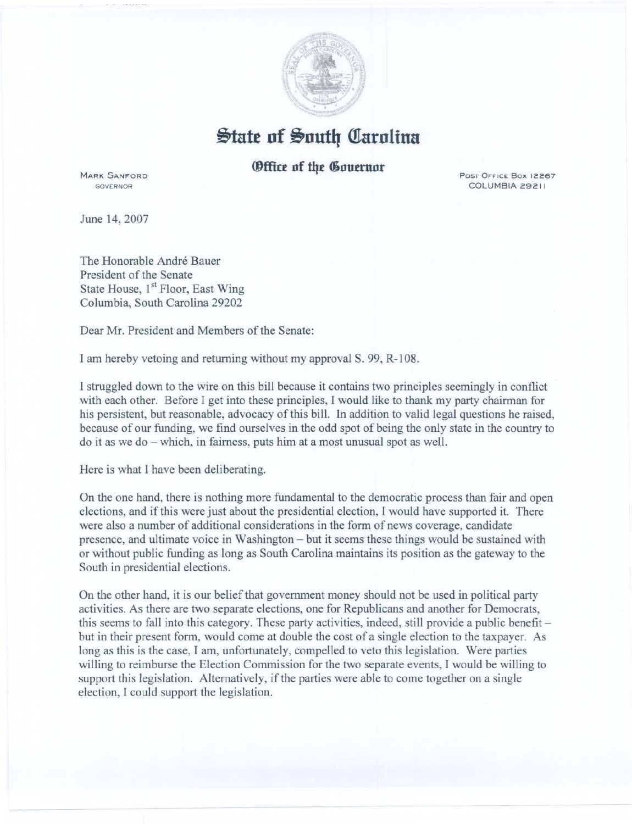

## $\frac{1}{2}$ tate of South Carolina

## *<u>®ffice</u>* of the Governor

MARK SANFORD **GOVERNOR** 

Post Office Box 12267 COLUMBIA 29211

June 14, 2007

The Honorable André Bauer President of the Senate State House, 1<sup>st</sup> Floor, East Wing Columbia, South Carolina 29202

Dear Mr. President and Members of the Senate:

I am hereby vetoing and returning without my approval S. 99, R-108.

I struggled down to the wire on this bill because it contains two principles seemingly in conflict with each other. Before I get into these principles, I would like to thank my party chairman for his persistent, but reasonable, advocacy of this bill. In addition to valid legal questions he raised, because of our funding, we find ourselves in the odd spot of being the only state in the country to do it as we do - which, in fairness, puts him at a most unusual spot as well.

Here is what I have been deliberating.

On the one hand, there is nothing more fundamental to the democratic process than fair and open elections, and if this were just about the presidential election, I would have supported it. There were also a number of additional considerations in the form of news coverage, candidate presence, and ultimate voice in Washington- but it seems these things would be sustained with or without public funding as long as South Carolina maintains its position as the gateway to the South in presidential elections.

On the other hand, it is our belief that government money should not be used in political party activities. As there are two separate elections, one for Republicans and another for Democrats, this seems to fall into this category. These party activities, indeed, still provide a public benefit but in their present form, would come at double the cost of a single election to the taxpayer. As long as this is the case, I am, unfortunately, compelled to veto this legislation. Were parties willing to reimburse the Election Commission for the two separate events, I would be willing to support this legislation. Alternatively, if the parties were able to come together on a single election, I could support the legislation.